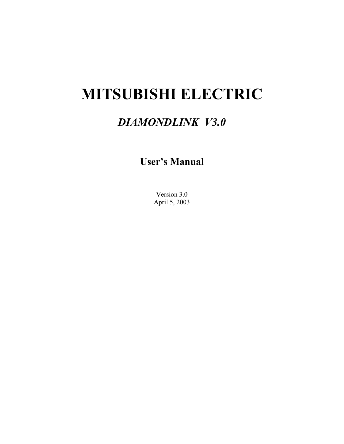# **MITSUBISHI ELECTRIC**

## *DIAMONDLINK V3.0*

**User's Manual** 

Version 3.0 April 5, 2003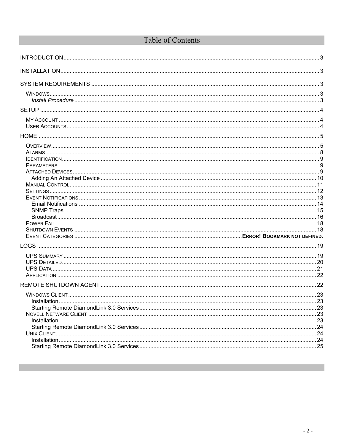## Table of Contents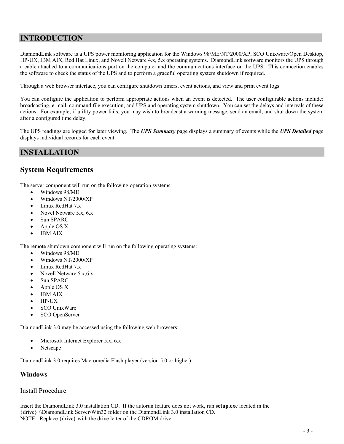## **INTRODUCTION**

DiamondLink software is a UPS power monitoring application for the Windows 98/ME/NT/2000/XP, SCO Unixware/Open Desktop, HP-UX, IBM AIX, Red Hat Linux, and Novell Netware 4.x, 5.x operating systems. DiamondLink software monitors the UPS through a cable attached to a communications port on the computer and the communications interface on the UPS. This connection enables the software to check the status of the UPS and to perform a graceful operating system shutdown if required.

Through a web browser interface, you can configure shutdown timers, event actions, and view and print event logs.

You can configure the application to perform appropriate actions when an event is detected. The user configurable actions include: broadcasting, e-mail, command file execution, and UPS and operating system shutdown. You can set the delays and intervals of these actions. For example, if utility power fails, you may wish to broadcast a warning message, send an email, and shut down the system after a configured time delay.

The UPS readings are logged for later viewing. The *UPS Summary* page displays a summary of events while the *UPS Detailed* page displays individual records for each event.

#### **INSTALLATION**

#### **System Requirements**

The server component will run on the following operation systems:

- Windows 98/ME
- Windows NT/2000/XP
- Linux RedHat 7.x
- Novel Netware 5.x, 6.x
- Sun SPARC
- Apple OS X
- IBM AIX

The remote shutdown component will run on the following operating systems:

- Windows 98/ME
- Windows NT/2000/XP
- Linux RedHat 7.x
- Novell Netware 5.x,6.x
- Sun SPARC
- Apple OS X
- IBM AIX
- HP-UX
- SCO UnixWare
- SCO OpenServer

DiamondLink 3.0 may be accessed using the following web browsers:

- Microsoft Internet Explorer 5.x, 6.x
- Netscape

DiamondLink 3.0 requires Macromedia Flash player (version 5.0 or higher)

#### **Windows**

#### Install Procedure

Insert the DiamondLink 3.0 installation CD. If the autorun feature does not work, run **setup.exe** located in the {drive}:\\DiamondLink Server\Win32 folder on the DiamondLink 3.0 installation CD. NOTE: Replace {drive} with the drive letter of the CDROM drive.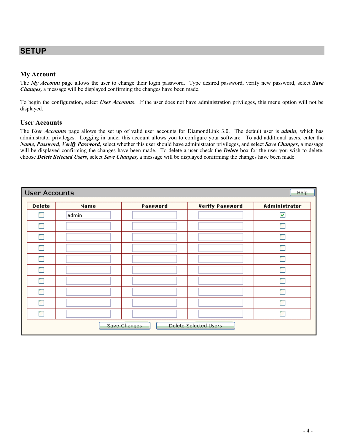## **SETUP**

#### **My Account**

The *My Account* page allows the user to change their login password. Type desired password, verify new password, select *Save Changes,* a message will be displayed confirming the changes have been made.

To begin the configuration, select *User Accounts*. If the user does not have administration privileges, this menu option will not be displayed.

#### **User Accounts**

The *User Accounts* page allows the set up of valid user accounts for DiamondLink 3.0. The default user is *admin*, which has administrator privileges. Logging in under this account allows you to configure your software. To add additional users, enter the *Name*, *Password*, *Verify Password*, select whether this user should have administrator privileges, and select *Save Changes*, a message will be displayed confirming the changes have been made. To delete a user check the *Delete* box for the user you wish to delete, choose *Delete Selected Users*, select *Save Changes,* a message will be displayed confirming the changes have been made.

| <b>User Accounts</b><br><b>Help</b>   |       |          |                        |               |  |  |
|---------------------------------------|-------|----------|------------------------|---------------|--|--|
| Delete                                | Name  | Password | <b>Verify Password</b> | Administrator |  |  |
|                                       | admin |          |                        | ☑             |  |  |
| Г                                     |       |          |                        |               |  |  |
| Г                                     |       |          |                        |               |  |  |
| г                                     |       |          |                        |               |  |  |
| Г                                     |       |          |                        |               |  |  |
| п                                     |       |          |                        |               |  |  |
| Г                                     |       |          |                        |               |  |  |
| n                                     |       |          |                        |               |  |  |
| г                                     |       |          |                        |               |  |  |
| Г                                     |       |          |                        |               |  |  |
| Delete Selected Users<br>Save Changes |       |          |                        |               |  |  |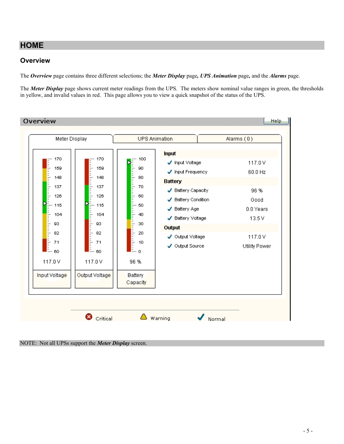## **HOME**

#### **Overview**

The *Overview* page contains three different selections; the *Meter Display* page*, UPS Animation* page*,* and the *Alarms* page.

The *Meter Display* page shows current meter readings from the UPS. The meters show nominal value ranges in green, the thresholds in yellow, and invalid values in red. This page allows you to view a quick snapshot of the status of the UPS.



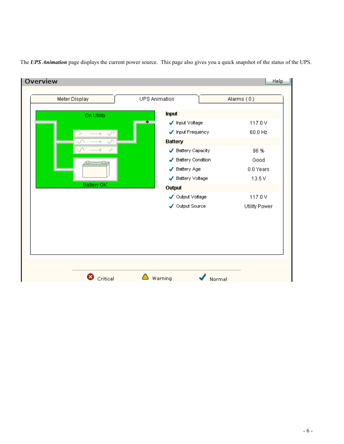The *UPS Animation* page displays the current power source. This page also gives you a quick snapshot of the status of the UPS.

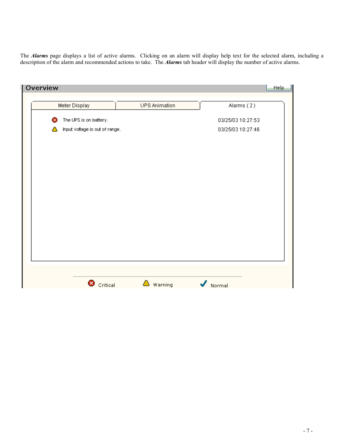The *Alarms* page displays a list of active alarms. Clicking on an alarm will display help text for the selected alarm, including a description of the alarm and recommended actions to take. The *Alarms* tab header will display the number of active alarms.

| Overview      |                                |                      |                   |
|---------------|--------------------------------|----------------------|-------------------|
| Meter Display |                                | <b>UPS Animation</b> | Alarms (2)        |
| ×             | The UPS is on battery.         |                      | 03/25/03 10:27:53 |
|               | Input voltage is out of range. |                      | 03/25/03 10:27:46 |
|               |                                |                      |                   |
|               |                                |                      |                   |
|               |                                |                      |                   |
|               |                                |                      |                   |
|               |                                |                      |                   |
|               |                                |                      |                   |
|               |                                |                      |                   |
|               |                                |                      |                   |
|               |                                |                      |                   |
|               |                                |                      |                   |
|               |                                |                      |                   |
|               |                                |                      |                   |
|               | C critical                     | Δ<br>Warning         | ✔<br>Normal       |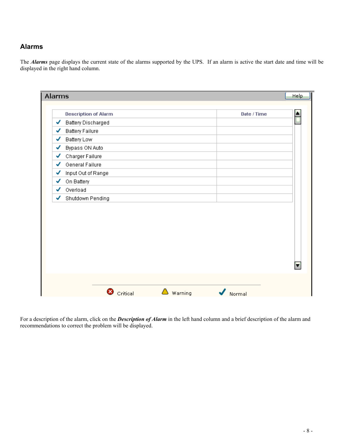#### **Alarms**

The *Alarms* page displays the current state of the alarms supported by the UPS. If an alarm is active the start date and time will be displayed in the right hand column.

| <b>Battery Discharged</b> |  |
|---------------------------|--|
|                           |  |
| <b>Battery Failure</b>    |  |
| Battery Low               |  |
| Bypass ON Auto            |  |
| Charger Failure           |  |
| General Failure           |  |
| Input Out of Range        |  |
| On Battery                |  |
| Overload                  |  |
| Shutdown Pending          |  |
|                           |  |
|                           |  |

For a description of the alarm, click on the *Description of Alarm* in the left hand column and a brief description of the alarm and recommendations to correct the problem will be displayed.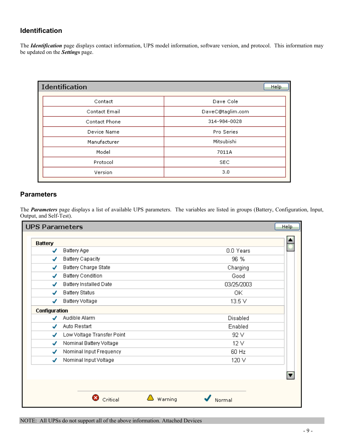#### **Identification**

The *Identification* page displays contact information, UPS model information, software version, and protocol. This information may be updated on the *Settings* page.

| <b>Identification</b> | <b>Help</b>      |
|-----------------------|------------------|
| Contact               | Dave Cole        |
| <b>Contact Email</b>  | DaveC@taglim.com |
| Contact Phone         | 314-984-0028     |
| Device Name           | Pro Series       |
| Manufacturer          | Mitsubishi       |
| Model                 | 7011A            |
| Protocol              | <b>SEC</b>       |
| Version               | 3.0              |

#### **Parameters**

The *Parameters* page displays a list of available UPS parameters. The variables are listed in groups (Battery, Configuration, Input, Output, and Self-Test).

| UPS Parameters |                               | Help              |
|----------------|-------------------------------|-------------------|
| <b>Battery</b> |                               |                   |
| ✔              | Battery Age                   | 0.0 Years         |
|                | Battery Capacity              | 96 %              |
|                | Battery Charge State          | Charging          |
| ✔              | <b>Battery Condition</b>      | Good              |
|                | <b>Battery Installed Date</b> | 03/25/2003        |
|                | <b>Battery Status</b>         | ОK                |
| ✓              | <b>Battery Voltage</b>        | 13.5 V            |
| Configuration  |                               |                   |
|                | Audible Alarm                 | Disabled          |
|                | Auto Restart                  | Enabled           |
| J              | Low Voltage Transfer Point    | 92 V              |
| J              | Nominal Battery Voltage       | 12V               |
| J              | Nominal Input Frequency       | 60 Hz             |
| J              | Nominal Input Voltage         | 120 V             |
|                |                               |                   |
|                | Critical                      | Warning<br>Normal |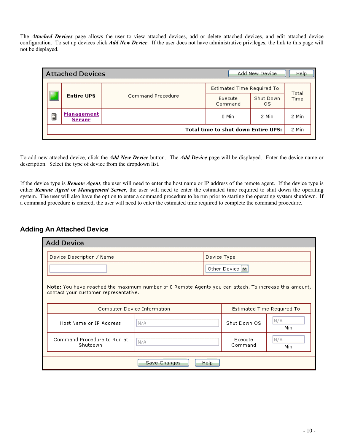The *Attached Devices* page allows the user to view attached devices, add or delete attached devices, and edit attached device configuration. To set up devices click *Add New Device*. If the user does not have administrative privileges, the link to this page will not be displayed.

| Estimated Time Required To<br>Command Procedure<br><b>Entire UPS</b><br>Shut Down<br>Execute | Add New Device<br>Help          | <b>Attached Devices</b> |  |  |  |  |
|----------------------------------------------------------------------------------------------|---------------------------------|-------------------------|--|--|--|--|
|                                                                                              |                                 |                         |  |  |  |  |
|                                                                                              | Total<br>Time<br>Command<br>OS. |                         |  |  |  |  |
| <b>Management</b><br>Ð<br>0 Min<br>2 Min<br><b>Server</b>                                    | 2 Min                           |                         |  |  |  |  |
| <b>Total time to shut down Entire UPS:</b>                                                   | 2 Min                           |                         |  |  |  |  |

To add new attached device, click the *Add New Device* button. The *Add Device* page will be displayed. Enter the device name or description. Select the type of device from the dropdown list.

If the device type is *Remote Agent*, the user will need to enter the host name or IP address of the remote agent. If the device type is either *Remote Agent* or *Management Server*, the user will need to enter the estimated time required to shut down the operating system. The user will also have the option to enter a command procedure to be run prior to starting the operating system shutdown. If a command procedure is entered, the user will need to enter the estimated time required to complete the command procedure.

#### **Adding An Attached Device**

| <b>Add Device</b>                                                                                                                              |              |       |                            |             |  |
|------------------------------------------------------------------------------------------------------------------------------------------------|--------------|-------|----------------------------|-------------|--|
| Device Description / Name<br>Device Type                                                                                                       |              |       |                            |             |  |
|                                                                                                                                                |              |       | Other Device V             |             |  |
| Note: You have reached the maximum number of 0 Remote Agents you can attach. To increase this amount,<br>contact your customer representative. |              |       |                            |             |  |
| Computer Device Information                                                                                                                    |              |       | Estimated Time Required To |             |  |
| Host Name or IP Address                                                                                                                        | N/A          |       | Shut Down OS               | N/A<br>Min. |  |
| Command Procedure to Run at<br>Shutdown                                                                                                        | N/A          |       | Execute<br>Command         | N/A<br>Min. |  |
|                                                                                                                                                | Save Changes | Help. |                            |             |  |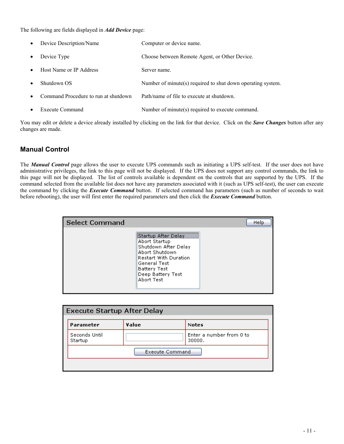The following are fields displayed in *Add Device* page:

| $\bullet$ | Device Description/Name              | Computer or device name.                                    |
|-----------|--------------------------------------|-------------------------------------------------------------|
| $\bullet$ | Device Type                          | Choose between Remote Agent, or Other Device.               |
| $\bullet$ | Host Name or IP Address              | Server name.                                                |
| $\bullet$ | Shutdown OS                          | Number of minute(s) required to shut down operating system. |
| $\bullet$ | Command Procedure to run at shutdown | Path/name of file to execute at shutdown.                   |
| $\bullet$ | <b>Execute Command</b>               | Number of minute(s) required to execute command.            |

You may edit or delete a device already installed by clicking on the link for that device. Click on the *Save Changes* button after any changes are made.

#### **Manual Control**

The *Manual Control* page allows the user to execute UPS commands such as initiating a UPS self-test. If the user does not have administrative privileges, the link to this page will not be displayed. If the UPS does not support any control commands, the link to this page will not be displayed. The list of controls available is dependent on the controls that are supported by the UPS. If the command selected from the available list does not have any parameters associated with it (such as UPS self-test), the user can execute the command by clicking the *Execute Command* button. If selected command has parameters (such as number of seconds to wait before rebooting), the user will first enter the required parameters and then click the *Execute Command* button.

| <b>Select Command</b> |                                                                                                                                                                                   | Help |
|-----------------------|-----------------------------------------------------------------------------------------------------------------------------------------------------------------------------------|------|
|                       | Startup After Delay<br>Abort Startup<br>Shutdown After Delay<br>Abort Shutdown<br><b>Restart With Duration</b><br>General Test<br>Battery Test<br>Deep Battery Test<br>Abort Test |      |

| Parameter                | Value                  | <b>Notes</b>                       |
|--------------------------|------------------------|------------------------------------|
| Seconds Until<br>Startup |                        | Enter a number from 0 to<br>30000. |
|                          | <b>Execute Command</b> |                                    |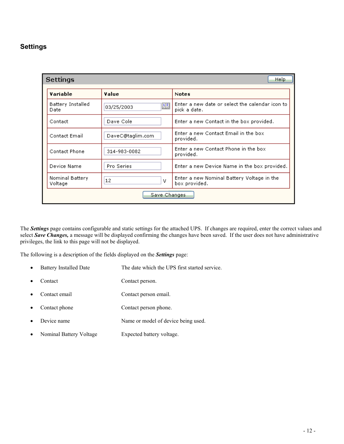#### **Settings**

| Help<br><b>Settings</b>    |                  |                                                                 |  |  |
|----------------------------|------------------|-----------------------------------------------------------------|--|--|
| Variable                   | Value            | <b>Notes</b>                                                    |  |  |
| Battery Installed<br>Date  | 匷<br>03/25/2003  | Enter a new date or select the calendar icon to<br>pick a date. |  |  |
| Contact                    | Dave Cole        | Enter a new Contact in the box provided.                        |  |  |
| Contact Email              | DaveC@taglim.com | Enter a new Contact Email in the box<br>provided.               |  |  |
| Contact Phone              | 314-983-0082     | Enter a new Contact Phone in the box<br>provided.               |  |  |
| Device Name                | Pro Series       | Enter a new Device Name in the box provided.                    |  |  |
| Nominal Battery<br>Voltage | 12<br>v          | Enter a new Nominal Battery Voltage in the<br>box provided.     |  |  |
| Save Changes               |                  |                                                                 |  |  |

The *Settings* page contains configurable and static settings for the attached UPS. If changes are required, enter the correct values and select *Save Changes,* a message will be displayed confirming the changes have been saved. If the user does not have administrative privileges, the link to this page will not be displayed.

The following is a description of the fields displayed on the *Settings* page:

- Battery Installed Date The date which the UPS first started service.
- Contact Contact person.
- Contact email Contact person email.
- Contact phone Contact person phone.
- Device name Name or model of device being used.
- Nominal Battery Voltage Expected battery voltage.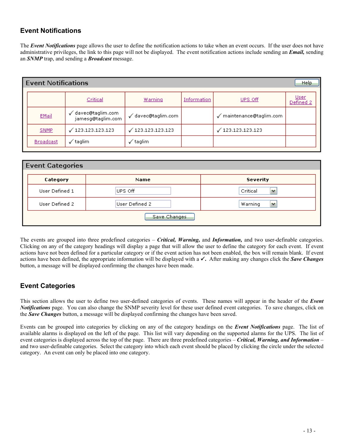#### **Event Notifications**

The *Event Notifications* page allows the user to define the notification actions to take when an event occurs. If the user does not have administrative privileges, the link to this page will not be displayed. The event notification actions include sending an *Email,* sending an *SNMP* trap, and sending a *Broadcast* message.

| l Event Notifications<br><b>Help</b> |                                         |                          |             |                        |                          |  |
|--------------------------------------|-----------------------------------------|--------------------------|-------------|------------------------|--------------------------|--|
|                                      | Critical                                | <u>Warning</u>           | Information | UPS Off                | <u>User</u><br>Defined 2 |  |
| EMail                                | √ davec@taglim.com<br>jamesg@taglim.com | √ davec@taglim.com       |             | maintenance@taglim.com |                          |  |
| <b>SNMP</b>                          | $\sqrt{123.123.123.123}$                | $\sqrt{123.123.123.123}$ |             | ✔ 123.123.123.123      |                          |  |
| <b>Broadcast</b>                     | ' taglim                                | $\checkmark$ taglim      |             |                        |                          |  |

| <b>Event Categories</b> |                |                         |
|-------------------------|----------------|-------------------------|
| <b>Category</b>         | Name           | <b>Severity</b>         |
| User Defined 1          | UPS Off        | Critical<br><b>Suit</b> |
| User Defined 2          | User Defined 2 | Warning<br>v            |
|                         | Save Changes   |                         |

The events are grouped into three predefined categories – *Critical, Warning,* and *Information,* and two user-definable categories. Clicking on any of the category headings will display a page that will allow the user to define the category for each event. If event actions have not been defined for a particular category or if the event action has not been enabled, the box will remain blank. If event actions have been defined, the appropriate information will be displayed with a  $\checkmark$ . After making any changes click the *Save Changes* button, a message will be displayed confirming the changes have been made.

### **Event Categories**

This section allows the user to define two user-defined categories of events. These names will appear in the header of the *Event Notifications* page. You can also change the SNMP severity level for these user defined event categories. To save changes, click on the *Save Changes* button, a message will be displayed confirming the changes have been saved.

Events can be grouped into categories by clicking on any of the category headings on the *Event Notifications* page. The list of available alarms is displayed on the left of the page. This list will vary depending on the supported alarms for the UPS. The list of event categories is displayed across the top of the page. There are three predefined categories – *Critical, Warning, and Information* – and two user-definable categories. Select the category into which each event should be placed by clicking the circle under the selected category. An event can only be placed into one category.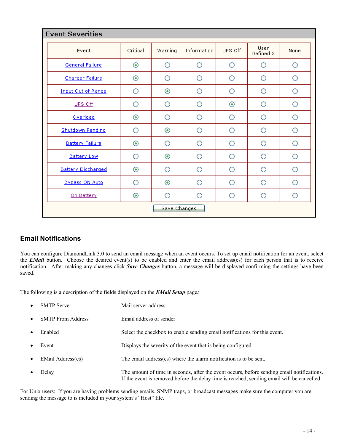| <b>Event Severities</b>   |                |            |             |            |                          |      |  |
|---------------------------|----------------|------------|-------------|------------|--------------------------|------|--|
| Event                     | Critical       | Warning    | Information | UPS Off    | <b>User</b><br>Defined 2 | None |  |
| General Failure           | $_{\odot}$     | Ο          | O           | О          | Ο                        | Ο    |  |
| Charger Failure           | $_{\odot}$     | O          | O           | O          | O                        | О    |  |
| <b>Input Out of Range</b> | Ο              | $_{\odot}$ | Ο           | Ο          | Ο                        | Ο    |  |
| UPS Off                   | ∩              | Ο          | ∩           | $_{\odot}$ | Ο                        | О    |  |
| Overload                  | ◉              | O          | ∩           | O          | O                        | O    |  |
| Shutdown Pending          | ∩              | $_{\odot}$ | О           | О          | Ο                        | Ο    |  |
| <b>Battery Failure</b>    | $_{\odot}$     | Ο          | ∩           | Ο          | Ο                        | O    |  |
| <b>Battery Low</b>        | Ο              | $_{\odot}$ | Ο           | О          | Ο                        | Ο    |  |
| <b>Battery Discharged</b> | $_{\odot}$     | Ο          | Ο           | О          | Ο                        | О    |  |
| <b>Bypass ON Auto</b>     | ∩              | $_{\odot}$ | ∩           | ∩          | Ο                        | ∩    |  |
| On Battery                | $\circledcirc$ | Ο          | ∩           | Ο          | ∩                        | Ο    |  |
|                           | Save Changes   |            |             |            |                          |      |  |

#### **Email Notifications**

You can configure DiamondLink 3.0 to send an email message when an event occurs. To set up email notification for an event, select the *EMail* button. Choose the desired event(s) to be enabled and enter the email address(es) for each person that is to receive notification. After making any changes click *Save Changes* button, a message will be displayed confirming the settings have been saved.

The following is a description of the fields displayed on the *EMail Setup* page*:*

- SMTP Server Mail server address
- SMTP From Address Email address of sender
	- Enabled Select the checkbox to enable sending email notifications for this event.
- Event **Displays the severity of the event that is being configured.**
- EMail Address(es) The email address(es) where the alarm notification is to be sent.
- Delay The amount of time in seconds, after the event occurs, before sending email notifications. If the event is removed before the delay time is reached, sending email will be cancelled

For Unix users: If you are having problems sending emails, SNMP traps, or broadcast messages make sure the computer you are sending the message to is included in your system's "Host" file.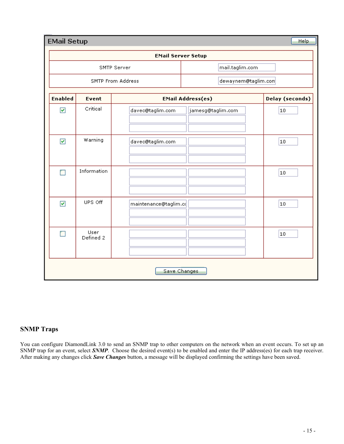| <b>EMail Setup</b>   |                           |                       |                          | Help            |  |
|----------------------|---------------------------|-----------------------|--------------------------|-----------------|--|
|                      | <b>EMail Server Setup</b> |                       |                          |                 |  |
|                      |                           | SMTP Server           | mail.taglim.com          |                 |  |
|                      | SMTP From Address         |                       | dewaynem@taglim.com      |                 |  |
| <b>Enabled</b>       | Event                     |                       | <b>EMail Address(es)</b> | Delay (seconds) |  |
| $\blacktriangledown$ | Critical                  | davec@taglim.com      | jamesg@taglim.com        | 10              |  |
| $\blacktriangledown$ | Warning                   | davec@taglim.com      |                          | 10              |  |
|                      | Information               |                       |                          | 10              |  |
| $\blacktriangledown$ | UPS Off                   | maintenance@taglim.cd |                          | 10              |  |
|                      | User<br>Defined 2         |                       |                          | 10              |  |
|                      | Save Changes              |                       |                          |                 |  |

#### **SNMP Traps**

You can configure DiamondLink 3.0 to send an SNMP trap to other computers on the network when an event occurs. To set up an SNMP trap for an event, select **SNMP**. Choose the desired event(s) to be enabled and enter the IP address(es) for each trap receiver. After making any changes click *Save Changes* button, a message will be displayed confirming the settings have been saved.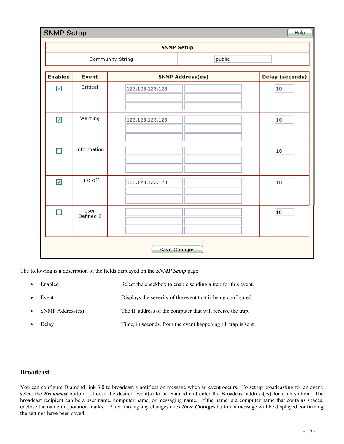|                      | <b>SNMP Setup</b><br>Help |                  |                  |                        |  |  |
|----------------------|---------------------------|------------------|------------------|------------------------|--|--|
|                      | <b>SNMP Setup</b>         |                  |                  |                        |  |  |
|                      |                           | Community String | public           |                        |  |  |
| <b>Enabled</b>       | Event                     |                  | SNMP Address(es) | <b>Delay (seconds)</b> |  |  |
| $\blacktriangledown$ | Critical                  | 123.123.123.123  |                  | $10\,$                 |  |  |
| $\blacktriangledown$ | Warning                   | 123.123.123.123  |                  | 10                     |  |  |
| r i                  | Information               |                  |                  | $10\,$                 |  |  |
| $\blacktriangledown$ | UPS Off                   | 123.123.123.123  |                  | 10                     |  |  |
| П                    | User<br>Defined 2         |                  |                  | 10                     |  |  |
| Save Changes         |                           |                  |                  |                        |  |  |

The following is a description of the fields displayed on the *SNMP Setup* page:

|           | Enabled          | Select the checkbox to enable sending a trap for this event. |
|-----------|------------------|--------------------------------------------------------------|
| $\bullet$ | Event            | Displays the severity of the event that is being configured. |
|           | SNMP Address(es) | The IP address of the computer that will receive the trap.   |

Delay Time, in seconds, from the event happening till trap is sent.

#### **Broadcast**

You can configure DiamondLink 3.0 to broadcast a notification message when an event occurs. To set up broadcasting for an event, select the *Broadcast* button. Choose the desired event(s) to be enabled and enter the Broadcast address(es) for each station. The broadcast recipient can be a user name, computer name, or messaging name. If the name is a computer name that contains spaces, enclose the name in quotation marks. After making any changes click *Save Changes* button, a message will be displayed confirming the settings have been saved.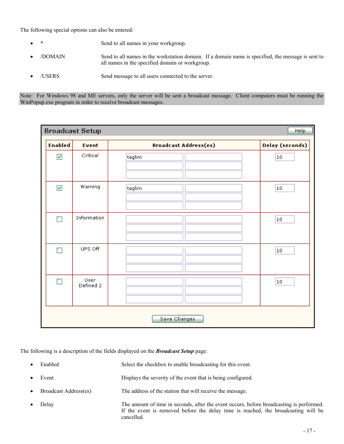The following special options can also be entered:

- Send to all names in your workgroup.
- /DOMAIN Send to all names in the workstation domain. If a domain name is specified, the message is sent to all names in the specified domain or workgroup.
- /USERS Send message to all users connected to the server.

Note: For Windows 98 and ME servers, only the server will be sent a broadcast message. Client computers must be running the WinPopup.exe program in order to receive broadcast messages.

|                       | <b>Broadcast Setup</b> |                              | Help                   |  |
|-----------------------|------------------------|------------------------------|------------------------|--|
| <b>Enabled</b>        | Event                  | <b>Broadcast Address(es)</b> | <b>Delay (seconds)</b> |  |
| $\blacktriangleright$ | Critical               | taglim                       | 10                     |  |
| $\blacktriangleright$ | Warning                | taglim                       | 10                     |  |
| П                     | Information            |                              | 10                     |  |
| П                     | UPS Off                |                              | 10                     |  |
| П                     | User<br>Defined 2      |                              | 10                     |  |
| Save Changes          |                        |                              |                        |  |

The following is a description of the fields displayed on the *Broadcast Setup* page:

- Enabled Select the checkbox to enable broadcasting for this event. Event **Displays** the severity of the event that is being configured. • Broadcast Address(es) The address of the station that will receive the message. Delay The amount of time in seconds, after the event occurs, before broadcasting is performed.
- If the event is removed before the delay time is reached, the broadcasting will be cancelled.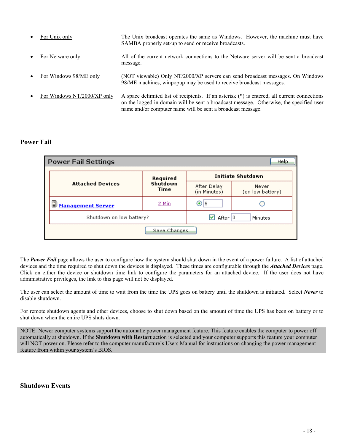| $\bullet$ | For Unix only               | The Unix broadcast operates the same as Windows. However, the machine must have<br>SAMBA properly set-up to send or receive broadcasts.                                                                                                                |
|-----------|-----------------------------|--------------------------------------------------------------------------------------------------------------------------------------------------------------------------------------------------------------------------------------------------------|
| $\bullet$ | For Netware only            | All of the current network connections to the Netware server will be sent a broadcast<br>message.                                                                                                                                                      |
| $\bullet$ | For Windows 98/ME only      | (NOT viewable) Only NT/2000/XP servers can send broadcast messages. On Windows<br>98/ME machines, winpopup may be used to receive broadcast messages.                                                                                                  |
| $\bullet$ | For Windows NT/2000/XP only | A space delimited list of recipients. If an asterisk (*) is entered, all current connections<br>on the logged in domain will be sent a broadcast message. Otherwise, the specified user<br>name and/or computer name will be sent a broadcast message. |

#### **Power Fail**

| <b>Power Fail Settings</b><br>Help |                         |                             |                           |  |  |
|------------------------------------|-------------------------|-----------------------------|---------------------------|--|--|
| Required                           |                         |                             | <b>Initiate Shutdown</b>  |  |  |
| <b>Attached Devices</b>            | Shutdown<br><b>Time</b> | After Delay<br>(in Minutes) | Never<br>(on low battery) |  |  |
| Ð<br><b>Management Server</b>      | 2 Min                   | ⊚⊩                          |                           |  |  |
| Shutdown on low battery?           |                         | After $ 0 $<br>ᢦ            | Minutes                   |  |  |
|                                    | Save Changes            |                             |                           |  |  |

The *Power Fail* page allows the user to configure how the system should shut down in the event of a power failure. A list of attached devices and the time required to shut down the devices is displayed. These times are configurable through the *Attached Devices* page. Click on either the device or shutdown time link to configure the parameters for an attached device. If the user does not have administrative privileges, the link to this page will not be displayed.

The user can select the amount of time to wait from the time the UPS goes on battery until the shutdown is initiated. Select *Never* to disable shutdown.

For remote shutdown agents and other devices, choose to shut down based on the amount of time the UPS has been on battery or to shut down when the entire UPS shuts down.

NOTE: Newer computer systems support the automatic power management feature. This feature enables the computer to power off automatically at shutdown. If the **Shutdown with Restart** action is selected and your computer supports this feature your computer will NOT power on. Please refer to the computer manufacture's Users Manual for instructions on changing the power management feature from within your system's BIOS.

#### **Shutdown Events**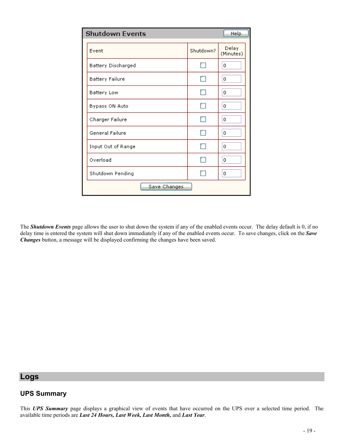| <b>Shutdown Events</b><br>Help |           |                    |  |  |
|--------------------------------|-----------|--------------------|--|--|
| Event                          | Shutdown? | Delay<br>(Minutes) |  |  |
| Battery Discharged             |           | 0                  |  |  |
| <b>Battery Failure</b>         | - 1       | 0                  |  |  |
| Battery Low                    |           | 0                  |  |  |
| Bypass ON Auto                 |           | 0                  |  |  |
| Charger Failure                |           | 0                  |  |  |
| General Failure                |           | 0                  |  |  |
| Input Out of Range             |           | 0                  |  |  |
| Overload                       |           | 0                  |  |  |
| Shutdown Pending               |           | 0                  |  |  |
| Save Changes                   |           |                    |  |  |

The *Shutdown Events* page allows the user to shut down the system if any of the enabled events occur. The delay default is 0, if no delay time is entered the system will shut down immediately if any of the enabled events occur. To save changes, click on the *Save Changes* button, a message will be displayed confirming the changes have been saved.

#### **Logs**

#### **UPS Summary**

This *UPS Summary* page displays a graphical view of events that have occurred on the UPS over a selected time period. The available time periods are *Last 24 Hours, Last Week, Last Month,* and *Last Year*.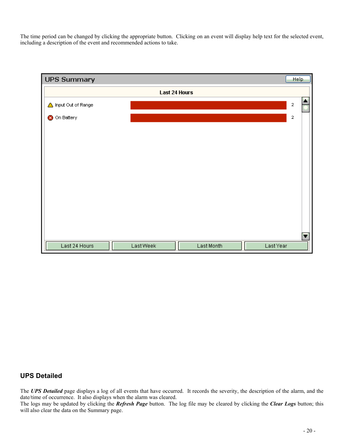The time period can be changed by clicking the appropriate button. Clicking on an event will display help text for the selected event, including a description of the event and recommended actions to take.

| UPS Summary          |                      |            |           | Help        |   |
|----------------------|----------------------|------------|-----------|-------------|---|
|                      | <b>Last 24 Hours</b> |            |           |             |   |
| △ Input Out of Range |                      |            |           | $\mathbf 2$ |   |
| On Battery<br>⊗      |                      |            |           | $\mathbf 2$ |   |
|                      |                      |            |           |             |   |
|                      |                      |            |           |             |   |
|                      |                      |            |           |             |   |
|                      |                      |            |           |             |   |
|                      |                      |            |           |             |   |
|                      |                      |            |           |             |   |
|                      |                      |            |           |             |   |
|                      |                      |            |           |             |   |
|                      |                      |            |           |             | ▼ |
| Last 24 Hours        | Last Week            | Last Month | Last Year |             |   |

#### **UPS Detailed**

The **UPS Detailed** page displays a log of all events that have occurred. It records the severity, the description of the alarm, and the date/time of occurrence. It also displays when the alarm was cleared.

The logs may be updated by clicking the *Refresh Page* button. The log file may be cleared by clicking the *Clear Logs* button; this will also clear the data on the Summary page.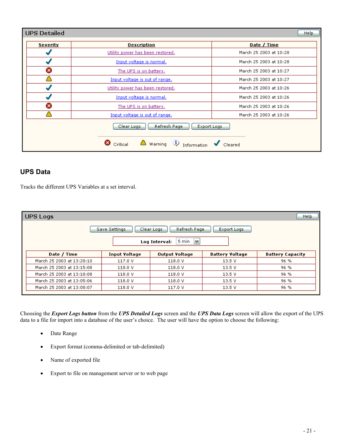| <b>UPS Detailed</b> |                                                                                                                               | <b>Help</b>            |
|---------------------|-------------------------------------------------------------------------------------------------------------------------------|------------------------|
| <b>Severity</b>     | <b>Description</b>                                                                                                            | Date / Time            |
|                     | Utility power has been restored.                                                                                              | March 25 2003 at 10:28 |
|                     | Input voltage is normal.                                                                                                      | March 25 2003 at 10:28 |
| €                   | The UPS is on battery.                                                                                                        | March 25 2003 at 10:27 |
|                     | Input voltage is out of range.                                                                                                | March 25 2003 at 10:27 |
|                     | Utility power has been restored.                                                                                              | March 25 2003 at 10:26 |
|                     | Input voltage is normal.                                                                                                      | March 25 2003 at 10:26 |
| Ø                   | The UPS is on battery,                                                                                                        | March 25 2003 at 10:26 |
|                     | Input voltage is out of range.                                                                                                | March 25 2003 at 10:26 |
|                     | Refresh Page<br>Clear Logs<br>Export Logs<br>Critical $\bigtriangleup$ Warning $\bigcirc$ Information $\bigcirc$ Cleared<br>⊗ |                        |

#### **UPS Data**

Tracks the different UPS Variables at a set interval.

| Help<br><b>UPS Logs</b>                                           |  |                      |                       |                        |                         |
|-------------------------------------------------------------------|--|----------------------|-----------------------|------------------------|-------------------------|
| Refresh Page<br>Save Settings<br>Clear Logs<br><b>Export Logs</b> |  |                      |                       |                        |                         |
| 5 min<br><b>M</b><br>Log Interval:                                |  |                      |                       |                        |                         |
| Date / Time                                                       |  | <b>Input Voltage</b> | <b>Output Voltage</b> | <b>Battery Voltage</b> | <b>Battery Capacity</b> |
| March 25 2003 at 13:20:10                                         |  | 117.0 V              | 118.0 V               | 13.5 V                 | 96 %                    |
| March 25 2003 at 13:15:08                                         |  | 118.0 V              | 118.0 V               | 13.5V                  | 96 %                    |
| March 25 2003 at 13:10:08                                         |  | 118.0 V              | 118.0 V               | 13.5 V                 | 96 %                    |
| March 25 2003 at 13:05:06                                         |  | 118.0 V              | 118.0 V               | 13.5V                  | 96 %                    |
| March 25 2003 at 13:00:07                                         |  | 118.0 V              | 117.0 V               | 13.5V                  | 96 %                    |

Choosing the *Export Logs button* from the *UPS Detailed Logs* screen and the *UPS Data Logs* screen will allow the export of the UPS data to a file for import into a database of the user's choice. The user will have the option to choose the following:

- Date Range
- Export format (comma-delimited or tab-delimited)
- Name of exported file
- Export to file on management server or to web page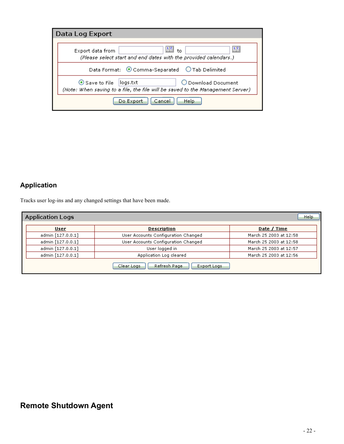| Data Log Export                  |                                                                                                       |  |
|----------------------------------|-------------------------------------------------------------------------------------------------------|--|
| Export data from                 | 里<br>飅<br>$t_0$<br>(Please select start and end dates with the provided calendars.)                   |  |
|                                  | Data Format: © Comma-Separated © Tab Delimited                                                        |  |
| $\odot$ Save to File<br>logs.txt | O Download Document<br>(Note: When saving to a file, the file will be saved to the Management Server) |  |
| Do Export                        | Help<br>Cancel                                                                                        |  |

## **Application**

Tracks user log-ins and any changed settings that have been made.

| <b>Application Logs</b><br><b>Help</b> |                   |                                           |                        |  |
|----------------------------------------|-------------------|-------------------------------------------|------------------------|--|
|                                        | User              | <b>Description</b>                        | Date / Time            |  |
|                                        | admin [127.0.0.1] | User Accounts Configuration Changed       | March 25 2003 at 12:58 |  |
|                                        | admin [127.0.0.1] | User Accounts Configuration Changed       | March 25 2003 at 12:58 |  |
|                                        | admin [127.0.0.1] | User logged in                            | March 25 2003 at 12:57 |  |
|                                        | admin [127.0.0.1] | Application Log cleared                   | March 25 2003 at 12:56 |  |
|                                        |                   | Refresh Page<br>Clear Logs<br>Export Logs |                        |  |

## **Remote Shutdown Agent**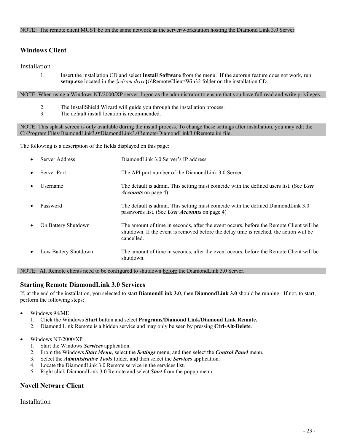#### NOTE: The remote client MUST be on the same network as the server/workstation hosting the Diamond Link 3.0 Server.

#### **Windows Client**

#### Installation

1. Insert the installation CD and select **Install Software** from the menu. If the autorun feature does not work, run **setup.exe** located in the **{***cdrom drive***}:\**\RemoteClient\Win32 folder on the installation CD.

NOTE: When using a Windows NT/2000/XP server, logon as the administrator to ensure that you have full read and write privileges.

- 2. The InstallShield Wizard will guide you through the installation process.
- 3. The default install location is recommended.

NOTE: This splash screen is only available during the install process. To change these settings after installation, you may edit the C:\Program Files\DiamondLink3.0\DiamondLink3.0Remote\DiamondLink3.0Remote.ini file.

The following is a description of the fields displayed on this page:

|           | Server Address       | DiamondLink 3.0 Server's IP address.                                                                                                                                                            |
|-----------|----------------------|-------------------------------------------------------------------------------------------------------------------------------------------------------------------------------------------------|
| $\bullet$ | Server Port          | The API port number of the DiamondLink 3.0 Server.                                                                                                                                              |
|           | Username             | The default is admin. This setting must coincide with the defined users list. (See User<br><i>Accounts</i> on page 4)                                                                           |
|           | Password             | The default is admin. This setting must coincide with the defined DiamondLink 3.0<br>passwords list. (See <i>User Accounts</i> on page 4)                                                       |
|           | On Battery Shutdown  | The amount of time in seconds, after the event occurs, before the Remote Client will be<br>shutdown. If the event is removed before the delay time is reached, the action will be<br>cancelled. |
|           | Low Battery Shutdown | The amount of time in seconds, after the event occurs, before the Remote Client will be<br>shutdown.                                                                                            |

NOTE: All Remote clients need to be configured to shutdown before the DiamondLink 3.0 Server.

#### **Starting Remote DiamondLink 3.0 Services**

If, at the end of the installation, you selected to start **DiamondLink 3.0**, then **DiamondLink 3.0** should be running. If not, to start, perform the following steps:

- Windows 98/ME
	- 1. Click the Windows **Start** button and select **Programs/Diamond Link/Diamond Link Remote.**
	- 2. Diamond Link Remote is a hidden service and may only be seen by pressing **Ctrl-Alt-Delete**.
- Windows NT/2000/XP
	- 1. Start the Windows *Services* application.
	- 2. From the Windows *Start Menu*, select the *Settings* menu, and then select the *Control Panel* menu*.*
	- 3. Select the *Administrative Tools* folder, and then select the *Services* application.
	- 4. Locate the DiamondLink 3.0 Remote service in the services list.
	- *5.* Right click DiamondLink 3.0 Remote and select *Start* from the popup menu.

#### **Novell Netware Client**

Installation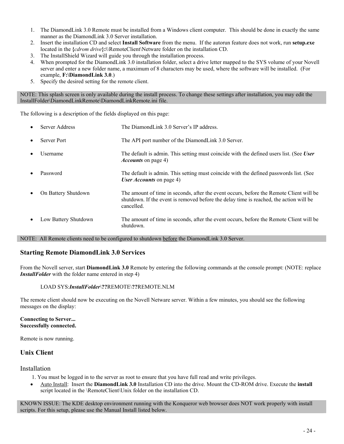- 1. The DiamondLink 3.0 Remote must be installed from a Windows client computer. This should be done in exactly the same manner as the DiamondLink 3.0 Server installation.
- 2. Insert the installation CD and select **Install Software** from the menu. If the autorun feature does not work, run **setup.exe** located in the **{***cdrom drive***}:\**\RemoteClient\Netware folder on the installation CD.
- 3. The InstallShield Wizard will guide you through the installation process.
- 4. When prompted for the DiamondLink 3.0 installation folder, select a drive letter mapped to the SYS volume of your Novell server and enter a new folder name, a maximum of 8 characters may be used, where the software will be installed. (For example, **F:\DiamondLink 3.0**.)
- 5. Specify the desired setting for the remote client.

NOTE: This splash screen is only available during the install process. To change these settings after installation, you may edit the InstallFolder\DiamondLinkRemote\DiamondLinkRemote.ini file.

The following is a description of the fields displayed on this page:

|           | Server Address       | The DiamondLink 3.0 Server's IP address.                                                                                                                                                        |
|-----------|----------------------|-------------------------------------------------------------------------------------------------------------------------------------------------------------------------------------------------|
| $\bullet$ | Server Port          | The API port number of the DiamondLink 3.0 Server.                                                                                                                                              |
|           | Username             | The default is admin. This setting must coincide with the defined users list. (See User<br><i>Accounts</i> on page 4)                                                                           |
|           | Password             | The default is admin. This setting must coincide with the defined passwords list. (See<br><i>User Accounts</i> on page 4)                                                                       |
|           | On Battery Shutdown  | The amount of time in seconds, after the event occurs, before the Remote Client will be<br>shutdown. If the event is removed before the delay time is reached, the action will be<br>cancelled. |
|           | Low Battery Shutdown | The amount of time in seconds, after the event occurs, before the Remote Client will be<br>shutdown.                                                                                            |

NOTE: All Remote clients need to be configured to shutdown before the DiamondLink 3.0 Server.

#### **Starting Remote DiamondLink 3.0 Services**

From the Novell server, start **DiamondLink 3.0** Remote by entering the following commands at the console prompt: (NOTE: replace *InstallFolder* with the folder name entered in step 4)

#### LOAD SYS:*InstallFolder*\**??**REMOTE\**??**REMOTE.NLM

The remote client should now be executing on the Novell Netware server. Within a few minutes, you should see the following messages on the display:

#### **Connecting to Server... Successfully connected.**

Remote is now running.

#### **Unix Client**

#### Installation

- 1. You must be logged in to the server as root to ensure that you have full read and write privileges.
- Auto Install: Insert the **DiamondLink 3.0** Installation CD into the drive. Mount the CD-ROM drive. Execute the **install** script located in the \RemoteClient\Unix folder on the installation CD.

KNOWN ISSUE: The KDE desktop environment running with the Konqueror web browser does NOT work properly with install scripts. For this setup, please use the Manual Install listed below.